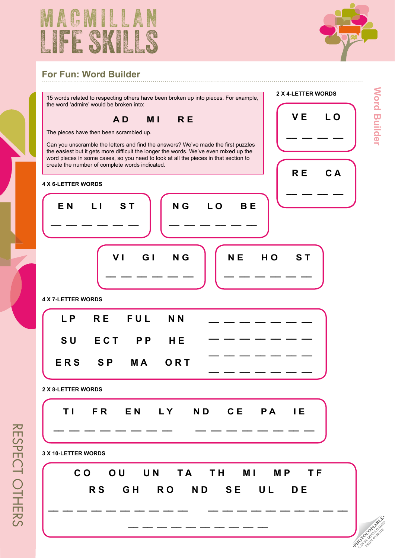



## **For Fun: Word Builder**

15 words related to respecting others have been broken up into pieces. For example, the word 'admire' would be broken into:

**A D M I R E** 

The pieces have then been scrambled up.

 **E N L I S T**

**\_\_ \_\_ \_\_ \_\_ \_\_ \_\_**

Can you unscramble the letters and find the answers? We've made the first the easiest but it gets more difficult the longer the words. We've even mixe word pieces in some cases, so you need to look at all the pieces in that se create the number of complete words indicated.

**VI GI NG** 

**\_\_ \_\_ \_\_ \_\_ \_\_ \_\_**



|     | vers? We've made the first puzzles<br>words. We've even mixed up the<br>at all the pieces in that section to |    |     |       |
|-----|--------------------------------------------------------------------------------------------------------------|----|-----|-------|
|     |                                                                                                              |    | R E | $C$ A |
| N G | L O                                                                                                          | BE |     |       |
|     |                                                                                                              |    |     |       |

**2 x 4-letter words** 

 **V E L O**

 **N E H O S T**

**\_\_ \_\_ \_\_ \_\_ \_\_ \_\_**

**4 x 7-letter words** 

|  | LP RE FUL NN  |  |
|--|---------------|--|
|  | SU ECT PP HE  |  |
|  | ERS SP MA ORT |  |
|  |               |  |

**2 x 8-letter words** 

|  |  | TI FR EN LY ND CE PA IE |  |  |
|--|--|-------------------------|--|--|
|  |  |                         |  |  |

**3 X 10-LETTER WORDS**



**\_\_ \_\_ \_\_ \_\_ \_\_ \_\_ \_\_ \_\_ \_\_ \_\_**

**PHOTOCOPIABLE**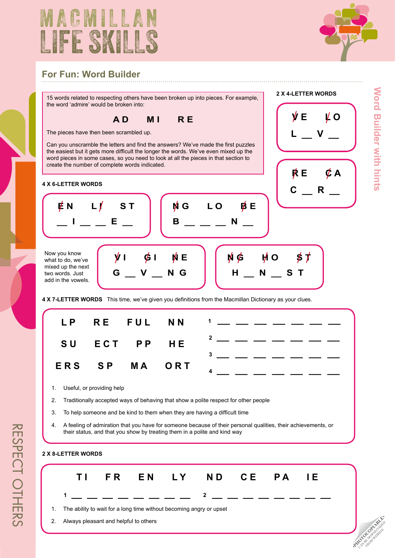



## **For Fun: Word Builder**

15 words related to respecting others have been broken up into pieces. For example, the word 'admire' would be broken into:

**A D M I R E** 

The pieces have then been scrambled up.

Can you unscramble the letters and find the answers? We've made the first puzzles the easiest but it gets more difficult the longer the words. We've even mixed up the word pieces in some cases, so you need to look at all the pieces in that section to create the number of complete words indicated.

#### **4 x 6-letter words**



Now you know what to do, we've mixed up the next two words. Just add in the vowels.





**2 x 4-letter words** 



**4 X 7-LETTER WORDS** This time, we've given you definitions from the Macmillan Dictionary as your clues.

 **N G L O B E**

|  |  | LP RE FUL NN $1     -$                                                                                                                                                                                                                                                                                                                                                                                                                                                                                            |
|--|--|-------------------------------------------------------------------------------------------------------------------------------------------------------------------------------------------------------------------------------------------------------------------------------------------------------------------------------------------------------------------------------------------------------------------------------------------------------------------------------------------------------------------|
|  |  | SU ECT PP HE $2 - - - - - - -$                                                                                                                                                                                                                                                                                                                                                                                                                                                                                    |
|  |  | $\overline{\phantom{a}^{3} \phantom{a}}$ $\overline{\phantom{a}}$ $\overline{\phantom{a}}$ $\overline{\phantom{a}}$ $\overline{\phantom{a}}$ $\overline{\phantom{a}}$ $\overline{\phantom{a}}$ $\overline{\phantom{a}}$ $\overline{\phantom{a}}$ $\overline{\phantom{a}}$ $\overline{\phantom{a}}$ $\overline{\phantom{a}}$ $\overline{\phantom{a}}$ $\overline{\phantom{a}}$ $\overline{\phantom{a}}$ $\overline{\phantom{a}}$ $\overline{\phantom{a}}$ $\overline{\phantom{$<br>ERS SP MA ORT $4 - - - - - - -$ |

- 1. Useful, or providing help
- 2. Traditionally accepted ways of behaving that show a polite respect for other people
- 3. To help someone and be kind to them when they are having a difficult time
- 4. A feeling of admiration that you have for someone because of their personal qualities, their achievements, or their status, and that you show by treating them in a polite and kind way

### **2 x 8-letter words**